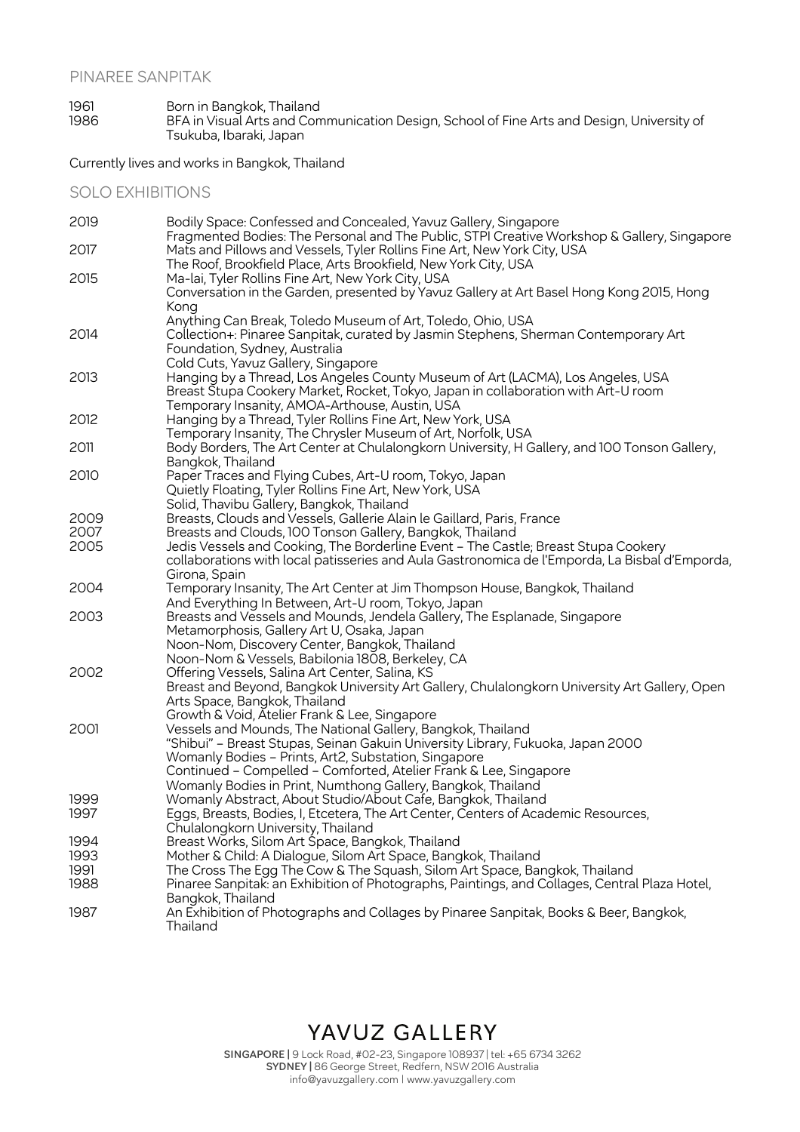1961 Born in Bangkok, Thailand 1986 BFA in Visual Arts and Communication Design, School of Fine Arts and Design, University of Tsukuba, Ibaraki, Japan

Currently lives and works in Bangkok, Thailand

SOLO EXHIBITIONS

| 2019 | Bodily Space: Confessed and Concealed, Yavuz Gallery, Singapore                                                                                                         |
|------|-------------------------------------------------------------------------------------------------------------------------------------------------------------------------|
| 2017 | Fragmented Bodies: The Personal and The Public, STPI Creative Workshop & Gallery, Singapore<br>Mats and Pillows and Vessels, Tyler Rollins Fine Art, New York City, USA |
|      | The Roof, Brookfield Place, Arts Brookfield, New York City, USA                                                                                                         |
| 2015 | Ma-lai, Tyler Rollins Fine Art, New York City, USA<br>Conversation in the Garden, presented by Yavuz Gallery at Art Basel Hong Kong 2015, Hong                          |
|      | Kong                                                                                                                                                                    |
|      | Anything Can Break, Toledo Museum of Art, Toledo, Ohio, USA                                                                                                             |
| 2014 | Collection+: Pinaree Sanpitak, curated by Jasmin Stephens, Sherman Contemporary Art                                                                                     |
|      | Foundation, Sydney, Australia                                                                                                                                           |
|      | Cold Cuts, Yavuz Gallery, Singapore                                                                                                                                     |
| 2013 | Hanging by a Thread, Los Angeles County Museum of Art (LACMA), Los Angeles, USA                                                                                         |
|      | Breast Stupa Cookery Market, Rocket, Tokyo, Japan in collaboration with Art-U room                                                                                      |
|      | Temporary Insanity, AMOA-Arthouse, Austin, USA                                                                                                                          |
| 2012 | Hanging by a Thread, Tyler Rollins Fine Art, New York, USA                                                                                                              |
| 2011 | Temporary Insanity, The Chrysler Museum of Art, Norfolk, USA                                                                                                            |
|      | Body Borders, The Art Center at Chulalongkorn University, H Gallery, and 100 Tonson Gallery,<br>Bangkok, Thailand                                                       |
| 2010 | Paper Traces and Flying Cubes, Art-U room, Tokyo, Japan                                                                                                                 |
|      | Quietly Floating, Tyler Rollins Fine Art, New York, USA                                                                                                                 |
|      | Solid, Thavibu Gallery, Bangkok, Thailand                                                                                                                               |
| 2009 | Breasts, Clouds and Vessels, Gallerie Alain le Gaillard, Paris, France                                                                                                  |
| 2007 | Breasts and Clouds, 100 Tonson Gallery, Bangkok, Thailand                                                                                                               |
| 2005 | Jedis Vessels and Cooking, The Borderline Event - The Castle; Breast Stupa Cookery                                                                                      |
|      | collaborations with local patisseries and Aula Gastronomica de l'Emporda, La Bisbal d'Emporda,                                                                          |
|      | Girona, Spain                                                                                                                                                           |
| 2004 | Temporary Insanity, The Art Center at Jim Thompson House, Bangkok, Thailand                                                                                             |
|      | And Everything In Between, Art-U room, Tokyo, Japan                                                                                                                     |
| 2003 | Breasts and Vessels and Mounds, Jendela Gallery, The Esplanade, Singapore                                                                                               |
|      | Metamorphosis, Gallery Art U, Osaka, Japan                                                                                                                              |
|      | Noon-Nom, Discovery Center, Bangkok, Thailand                                                                                                                           |
| 2002 | Noon-Nom & Vessels, Babilonia 1808, Berkeley, CA                                                                                                                        |
|      | Offering Vessels, Salina Art Center, Salina, KS                                                                                                                         |
|      | Breast and Beyond, Bangkok University Art Gallery, Chulalongkorn University Art Gallery, Open<br>Arts Space, Bangkok, Thailand                                          |
|      | Growth & Void, Atelier Frank & Lee, Singapore                                                                                                                           |
| 2001 | Vessels and Mounds, The National Gallery, Bangkok, Thailand                                                                                                             |
|      | "Shibui" - Breast Stupas, Seinan Gakuin University Library, Fukuoka, Japan 2000                                                                                         |
|      | Womanly Bodies - Prints, Art2, Substation, Singapore                                                                                                                    |
|      | Continued - Compelled - Comforted, Atelier Frank & Lee, Singapore                                                                                                       |
|      | Womanly Bodies in Print, Numthong Gallery, Bangkok, Thailand                                                                                                            |
| 1999 | Womanly Abstract, About Studio/About Cafe, Bangkok, Thailand                                                                                                            |
| 1997 | Eggs, Breasts, Bodies, I, Etcetera, The Art Center, Centers of Academic Resources,                                                                                      |
|      | Chulalongkorn University, Thailand                                                                                                                                      |
| 1994 | Breast Works, Silom Art Space, Bangkok, Thailand                                                                                                                        |
| 1993 | Mother & Child: A Dialogue, Silom Art Space, Bangkok, Thailand                                                                                                          |
| 1991 | The Cross The Egg The Cow & The Squash, Silom Art Space, Bangkok, Thailand                                                                                              |
| 1988 | Pinaree Sanpitak: an Exhibition of Photographs, Paintings, and Collages, Central Plaza Hotel,                                                                           |
|      | Bangkok, Thailand                                                                                                                                                       |
| 1987 | An Exhibition of Photographs and Collages by Pinaree Sanpitak, Books & Beer, Bangkok,<br>Thailand                                                                       |
|      |                                                                                                                                                                         |

## YAVUZ GALLERY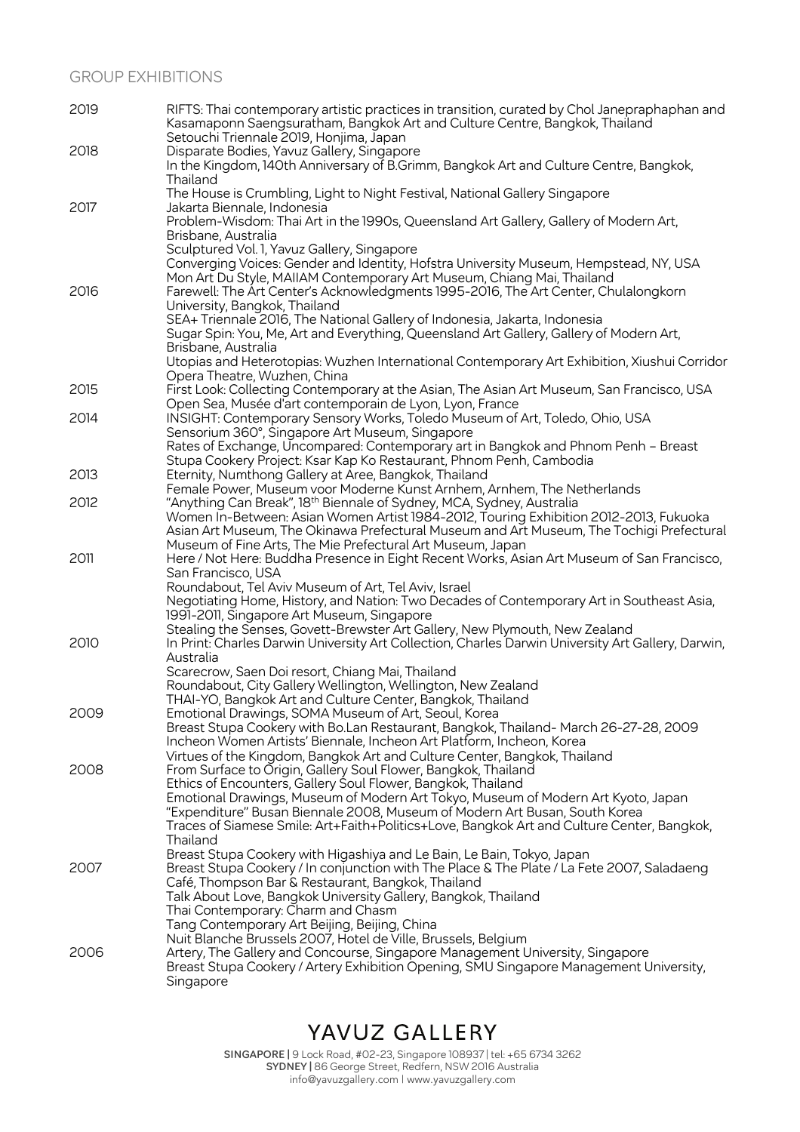### GROUP EXHIBITIONS

| 2019 | RIFTS: Thai contemporary artistic practices in transition, curated by Chol Janepraphaphan and<br>Kasamaponn Saengsuratham, Bangkok Art and Culture Centre, Bangkok, Thailand                                                                                                                                                       |
|------|------------------------------------------------------------------------------------------------------------------------------------------------------------------------------------------------------------------------------------------------------------------------------------------------------------------------------------|
| 2018 | Setouchi Triennale 2019, Honjima, Japan<br>Disparate Bodies, Yavuz Gallery, Singapore<br>In the Kingdom, 140th Anniversary of B.Grimm, Bangkok Art and Culture Centre, Bangkok,<br>Thailand                                                                                                                                        |
| 2017 | The House is Crumbling, Light to Night Festival, National Gallery Singapore<br>Jakarta Biennale, Indonesia                                                                                                                                                                                                                         |
|      | Problem-Wisdom: Thai Art in the 1990s, Queensland Art Gallery, Gallery of Modern Art,<br>Brisbane, Australia<br>Sculptured Vol. 1, Yavuz Gallery, Singapore                                                                                                                                                                        |
| 2016 | Converging Voices: Gender and Identity, Hofstra University Museum, Hempstead, NY, USA<br>Mon Art Du Style, MAIIAM Contemporary Art Museum, Chiang Mai, Thailand<br>Farewell: The Art Center's Acknowledgments 1995-2016, The Art Center, Chulalongkorn                                                                             |
|      | University, Bangkok, Thailand<br>SEA+ Triennale 2016, The National Gallery of Indonesia, Jakarta, Indonesia<br>Sugar Spin: You, Me, Art and Everything, Queensland Art Gallery, Gallery of Modern Art,<br>Brisbane, Australia                                                                                                      |
|      | Utopias and Heterotopias: Wuzhen International Contemporary Art Exhibition, Xiushui Corridor<br>Opera Theatre, Wuzhen, China                                                                                                                                                                                                       |
| 2015 | First Look: Collecting Contemporary at the Asian, The Asian Art Museum, San Francisco, USA<br>Open Sea, Musée d'art contemporain de Lyon, Lyon, France                                                                                                                                                                             |
| 2014 | INSIGHT: Contemporary Sensory Works, Toledo Museum of Art, Toledo, Ohio, USA<br>Sensorium 360°, Singapore Art Museum, Singapore                                                                                                                                                                                                    |
|      | Rates of Exchange, Uncompared: Contemporary art in Bangkok and Phnom Penh - Breast                                                                                                                                                                                                                                                 |
| 2013 | Stupa Cookery Project: Ksar Kap Ko Restaurant, Phnom Penh, Cambodia<br>Eternity, Numthong Gallery at Aree, Bangkok, Thailand                                                                                                                                                                                                       |
| 2012 | Female Power, Museum voor Moderne Kunst Arnhem, Arnhem, The Netherlands<br>"Anything Can Break", 18 <sup>th</sup> Biennale of Sydney, MCA, Sydney, Australia                                                                                                                                                                       |
|      | Women In-Between: Asian Women Artist 1984-2012, Touring Exhibition 2012-2013, Fukuoka<br>Asian Art Museum, The Okinawa Prefectural Museum and Art Museum, The Tochigi Prefectural<br>Museum of Fine Arts, The Mie Prefectural Art Museum, Japan                                                                                    |
| 2011 | Here / Not Here: Buddha Presence in Eight Recent Works, Asian Art Museum of San Francisco,<br>San Francisco, USA<br>Roundabout, Tel Aviv Museum of Art, Tel Aviv, Israel                                                                                                                                                           |
|      | Negotiating Home, History, and Nation: Two Decades of Contemporary Art in Southeast Asia,<br>1991-2011, Singapore Art Museum, Singapore                                                                                                                                                                                            |
| 2010 | Stealing the Senses, Govett-Brewster Art Gallery, New Plymouth, New Zealand<br>In Print: Charles Darwin University Art Collection, Charles Darwin University Art Gallery, Darwin,<br>Australia                                                                                                                                     |
|      | Scarecrow, Saen Doi resort, Chiang Mai, Thailand<br>Roundabout, City Gallery Wellington, Wellington, New Zealand<br>THAI-YO, Bangkok Art and Culture Center, Bangkok, Thailand                                                                                                                                                     |
| 2009 | Emotional Drawings, SOMA Museum of Art, Seoul, Korea<br>Breast Stupa Cookery with Bo.Lan Restaurant, Bangkok, Thailand- March 26-27-28, 2009<br>Incheon Women Artists' Biennale, Incheon Art Platform, Incheon, Korea                                                                                                              |
| 2008 | Virtues of the Kingdom, Bangkok Art and Culture Center, Bangkok, Thailand<br>From Surface to Origin, Gallery Soul Flower, Bangkok, Thailand<br>Ethics of Encounters, Gallery Soul Flower, Bangkok, Thailand                                                                                                                        |
|      | Emotional Drawings, Museum of Modern Art Tokyo, Museum of Modern Art Kyoto, Japan<br>"Expenditure" Busan Biennale 2008, Museum of Modern Art Busan, South Korea<br>Traces of Siamese Smile: Art+Faith+Politics+Love, Bangkok Art and Culture Center, Bangkok,<br>Thailand                                                          |
| 2007 | Breast Stupa Cookery with Higashiya and Le Bain, Le Bain, Tokyo, Japan<br>Breast Stupa Cookery / In conjunction with The Place & The Plate / La Fete 2007, Saladaeng<br>Café, Thompson Bar & Restaurant, Bangkok, Thailand<br>Talk About Love, Bangkok University Gallery, Bangkok, Thailand<br>Thai Contemporary: Charm and Chasm |
| 2006 | Tang Contemporary Art Beijing, Beijing, China<br>Nuit Blanche Brussels 2007, Hotel de Ville, Brussels, Belgium<br>Artery, The Gallery and Concourse, Singapore Management University, Singapore<br>Breast Stupa Cookery / Artery Exhibition Opening, SMU Singapore Management University,<br>Singapore                             |

# YAVUZ GALLERY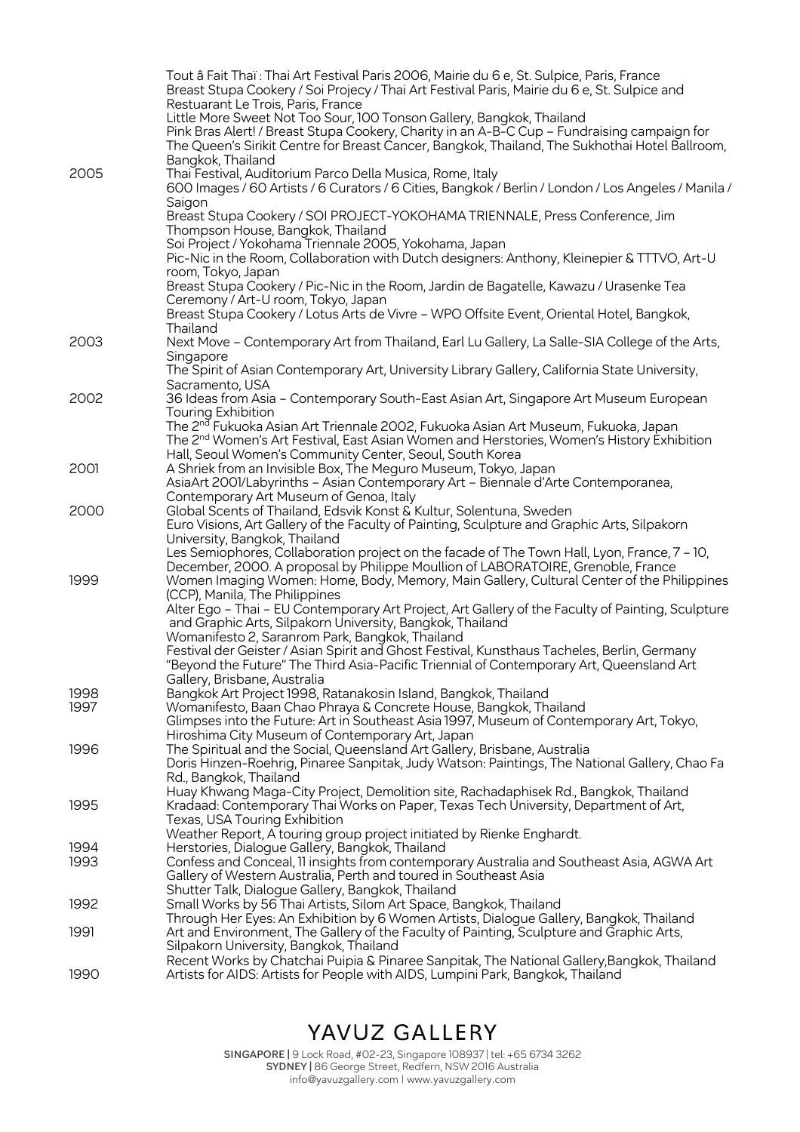|      | Tout â Fait Thaï : Thai Art Festival Paris 2006, Mairie du 6 e, St. Sulpice, Paris, France<br>Breast Stupa Cookery / Soi Projecy / Thai Art Festival Paris, Mairie du 6 e, St. Sulpice and<br>Restuarant Le Trois, Paris, France                                                            |
|------|---------------------------------------------------------------------------------------------------------------------------------------------------------------------------------------------------------------------------------------------------------------------------------------------|
|      | Little More Sweet Not Too Sour, 100 Tonson Gallery, Bangkok, Thailand<br>Pink Bras Alert! / Breast Stupa Cookery, Charity in an A-B-C Cup - Fundraising campaign for<br>The Queen's Sirikit Centre for Breast Cancer, Bangkok, Thailand, The Sukhothai Hotel Ballroom,<br>Bangkok, Thailand |
| 2005 | Thai Festival, Auditorium Parco Della Musica, Rome, Italy<br>600 Images / 60 Artists / 6 Curators / 6 Cities, Bangkok / Berlin / London / Los Angeles / Manila /<br>Saigon                                                                                                                  |
|      | Breast Stupa Cookery / SOI PROJECT-YOKOHAMA TRIENNALE, Press Conference, Jim<br>Thompson House, Bangkok, Thailand                                                                                                                                                                           |
|      | Soi Project / Yokohama Triennale 2005, Yokohama, Japan<br>Pic-Nic in the Room, Collaboration with Dutch designers: Anthony, Kleinepier & TTTVO, Art-U<br>room, Tokyo, Japan                                                                                                                 |
|      | Breast Stupa Cookery / Pic-Nic in the Room, Jardin de Bagatelle, Kawazu / Urasenke Tea<br>Ceremony / Art-U room, Tokyo, Japan<br>Breast Stupa Cookery / Lotus Arts de Vivre - WPO Offsite Event, Oriental Hotel, Bangkok,                                                                   |
|      | Thailand                                                                                                                                                                                                                                                                                    |
| 2003 | Next Move - Contemporary Art from Thailand, Earl Lu Gallery, La Salle-SIA College of the Arts,<br>Singapore                                                                                                                                                                                 |
|      | The Spirit of Asian Contemporary Art, University Library Gallery, California State University,<br>Sacramento, USA                                                                                                                                                                           |
| 2002 | 36 Ideas from Asia - Contemporary South-East Asian Art, Singapore Art Museum European<br>Touring Exhibition                                                                                                                                                                                 |
|      | The 2 <sup>nd</sup> Fukuoka Asian Art Triennale 2002, Fukuoka Asian Art Museum, Fukuoka, Japan<br>The 2 <sup>nd</sup> Women's Art Festival, East Asian Women and Herstories, Women's History Exhibition<br>Hall, Seoul Women's Community Center, Seoul, South Korea                         |
| 2001 | A Shriek from an Invisible Box, The Meguro Museum, Tokyo, Japan<br>AsiaArt 2001/Labyrinths - Asian Contemporary Art - Biennale d'Arte Contemporanea,<br>Contemporary Art Museum of Genoa, Italy                                                                                             |
| 2000 | Global Scents of Thailand, Edsvik Konst & Kultur, Solentuna, Sweden<br>Euro Visions, Art Gallery of the Faculty of Painting, Sculpture and Graphic Arts, Silpakorn                                                                                                                          |
|      | University, Bangkok, Thailand<br>Les Semiophores, Collaboration project on the facade of The Town Hall, Lyon, France, 7 - 10,<br>December, 2000. A proposal by Philippe Moullion of LABORATOIRE, Grenoble, France                                                                           |
| 1999 | Women Imaging Women: Home, Body, Memory, Main Gallery, Cultural Center of the Philippines<br>(CCP), Manila, The Philippines                                                                                                                                                                 |
|      | Alter Ego - Thai - EU Contemporary Art Project, Art Gallery of the Faculty of Painting, Sculpture<br>and Graphic Arts, Silpakorn University, Bangkok, Thailand<br>Womanifesto 2, Saranrom Park, Bangkok, Thailand                                                                           |
|      | Festival der Geister / Asian Spirit and Ghost Festival, Kunsthaus Tacheles, Berlin, Germany<br>"Beyond the Future" The Third Asia-Pacific Triennial of Contemporary Art, Queensland Art                                                                                                     |
| 1998 | Gallery, Brisbane, Australia<br>Bangkok Art Project 1998, Ratanakosin Island, Bangkok, Thailand                                                                                                                                                                                             |
| 1997 | Womanifesto, Baan Chao Phraya & Concrete House, Bangkok, Thailand<br>Glimpses into the Future: Art in Southeast Asia 1997, Museum of Contemporary Art, Tokyo,<br>Hiroshima City Museum of Contemporary Art, Japan                                                                           |
| 1996 | The Spiritual and the Social, Queensland Art Gallery, Brisbane, Australia<br>Doris Hinzen-Roehrig, Pinaree Sanpitak, Judy Watson: Paintings, The National Gallery, Chao Fa<br>Rd., Bangkok, Thailand                                                                                        |
| 1995 | Huay Khwang Maga-City Project, Demolition site, Rachadaphisek Rd., Bangkok, Thailand<br>Kradaad: Contemporary Thai Works on Paper, Texas Tech University, Department of Art,<br>Texas, USA Touring Exhibition                                                                               |
| 1994 | Weather Report, A touring group project initiated by Rienke Enghardt.<br>Herstories, Dialogue Gallery, Bangkok, Thailand                                                                                                                                                                    |
| 1993 | Confess and Conceal, 11 insights from contemporary Australia and Southeast Asia, AGWA Art<br>Gallery of Western Australia, Perth and toured in Southeast Asia                                                                                                                               |
| 1992 | Shutter Talk, Dialogue Gallery, Bangkok, Thailand<br>Small Works by 56 Thai Artists, Silom Art Space, Bangkok, Thailand                                                                                                                                                                     |
| 1991 | Through Her Eyes: An Exhibition by 6 Women Artists, Dialogue Gallery, Bangkok, Thailand<br>Art and Environment, The Gallery of the Faculty of Painting, Sculpture and Graphic Arts,<br>Silpakorn University, Bangkok, Thailand                                                              |
| 1990 | Recent Works by Chatchai Puipia & Pinaree Sanpitak, The National Gallery, Bangkok, Thailand<br>Artists for AIDS: Artists for People with AIDS, Lumpini Park, Bangkok, Thailand                                                                                                              |

YAVUZ GALLERY